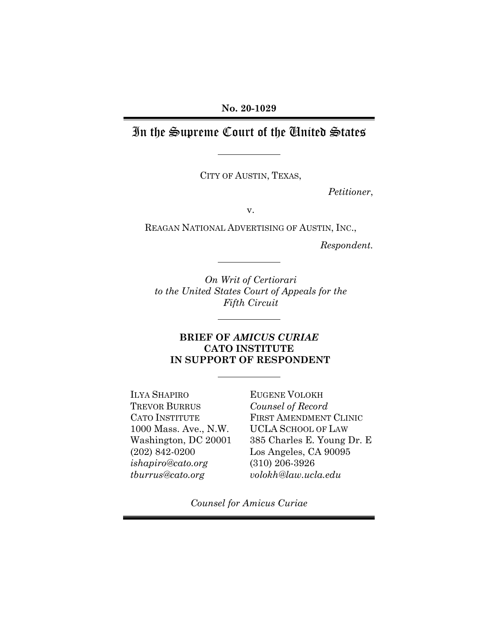# In the Supreme Court of the United States

CITY OF AUSTIN, TEXAS,

*Petitioner*,

v.

REAGAN NATIONAL ADVERTISING OF AUSTIN, INC.,

*Respondent.*

*On Writ of Certiorari to the United States Court of Appeals for the Fifth Circuit* 

## **BRIEF OF** *AMICUS CURIAE*  **CATO INSTITUTE IN SUPPORT OF RESPONDENT**

ILYA SHAPIRO TREVOR BURRUS CATO INSTITUTE 1000 Mass. Ave., N.W. Washington, DC 20001 (202) 842-0200 *ishapiro@cato.org tburrus@cato.org*

EUGENE VOLOKH *Counsel of Record* FIRST AMENDMENT CLINIC UCLA SCHOOL OF LAW 385 Charles E. Young Dr. E Los Angeles, CA 90095 (310) 206-3926 *volokh@law.ucla.edu*

*Counsel for Amicus Curiae*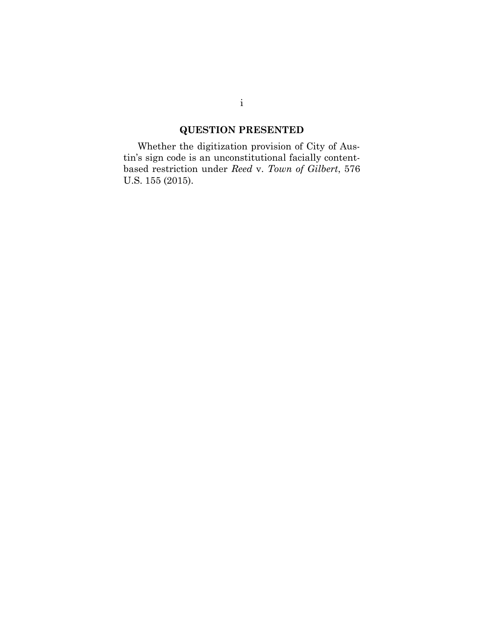# **QUESTION PRESENTED**

Whether the digitization provision of City of Austin's sign code is an unconstitutional facially contentbased restriction under *Reed* v. *Town of Gilbert*, 576 U.S. 155 (2015).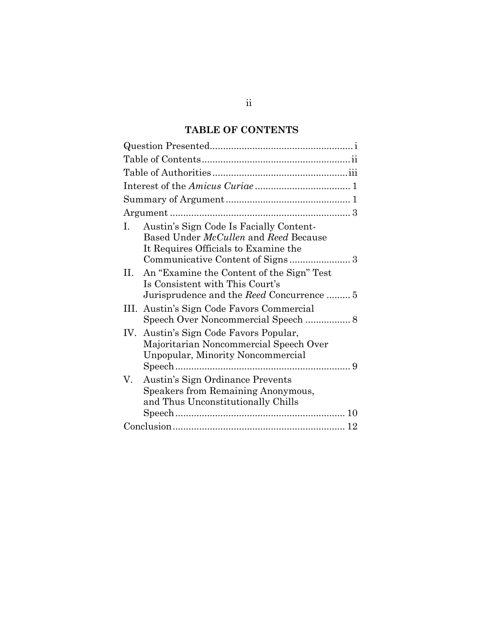## **TABLE OF CONTENTS**

| Austin's Sign Code Is Facially Content-<br>I.<br>Based Under <i>McCullen</i> and Reed Because<br>It Requires Officials to Examine the |
|---------------------------------------------------------------------------------------------------------------------------------------|
| An "Examine the Content of the Sign" Test<br>Н.<br>Is Consistent with This Court's<br>Jurisprudence and the Reed Concurrence  5       |
| Austin's Sign Code Favors Commercial<br>III.                                                                                          |
| Austin's Sign Code Favors Popular,<br>IV.<br>Majoritarian Noncommercial Speech Over<br>Unpopular, Minority Noncommercial              |
| Austin's Sign Ordinance Prevents<br>V.<br>Speakers from Remaining Anonymous,<br>and Thus Unconstitutionally Chills                    |
|                                                                                                                                       |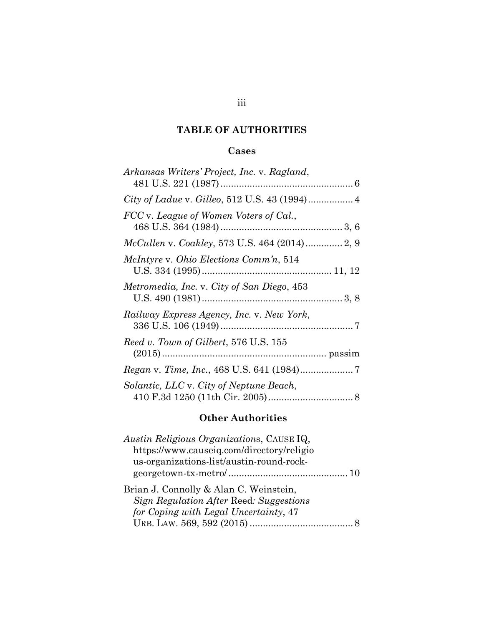# **TABLE OF AUTHORITIES**

## **Cases**

## **Other Authorities**

| <i>Austin Religious Organizations, CAUSEIQ,</i> |  |
|-------------------------------------------------|--|
| https://www.causeig.com/directory/religio       |  |
| us-organizations-list/austin-round-rock-        |  |
|                                                 |  |
| Brian J. Connolly & Alan C. Weinstein,          |  |
| Sign Regulation After Reed: Suggestions         |  |
| for Coping with Legal Uncertainty, 47           |  |
|                                                 |  |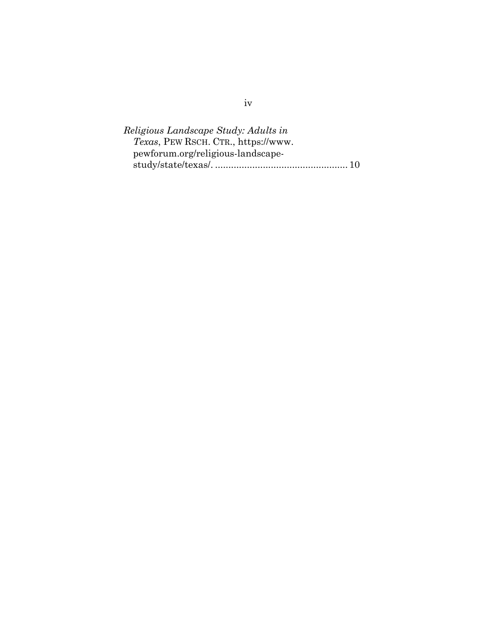| Religious Landscape Study: Adults in |  |
|--------------------------------------|--|
| Texas, PEW RSCH. CTR., https://www.  |  |
| pewforum.org/religious-landscape-    |  |
|                                      |  |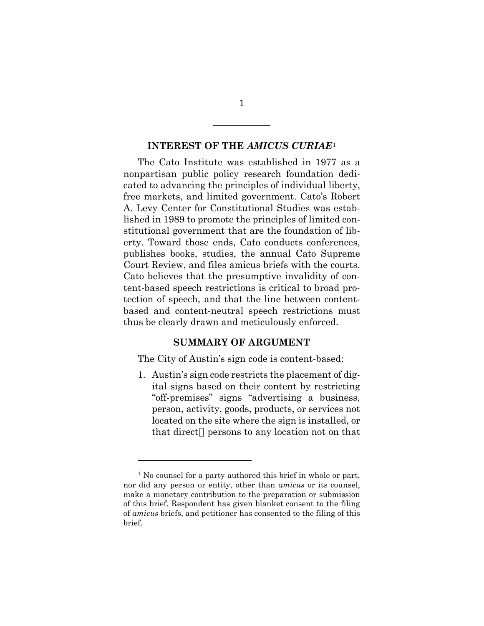#### **INTEREST OF THE** *AMICUS CURIAE*[1](#page-5-0)

The Cato Institute was established in 1977 as a nonpartisan public policy research foundation dedicated to advancing the principles of individual liberty, free markets, and limited government. Cato's Robert A. Levy Center for Constitutional Studies was established in 1989 to promote the principles of limited constitutional government that are the foundation of liberty. Toward those ends, Cato conducts conferences, publishes books, studies, the annual Cato Supreme Court Review, and files amicus briefs with the courts. Cato believes that the presumptive invalidity of content-based speech restrictions is critical to broad protection of speech, and that the line between contentbased and content-neutral speech restrictions must thus be clearly drawn and meticulously enforced.

#### **SUMMARY OF ARGUMENT**

The City of Austin's sign code is content-based:

1. Austin's sign code restricts the placement of digital signs based on their content by restricting "off-premises" signs "advertising a business, person, activity, goods, products, or services not located on the site where the sign is installed, or that direct[] persons to any location not on that

1

<span id="page-5-0"></span><sup>&</sup>lt;sup>1</sup> No counsel for a party authored this brief in whole or part, nor did any person or entity, other than *amicus* or its counsel, make a monetary contribution to the preparation or submission of this brief. Respondent has given blanket consent to the filing of *amicus* briefs, and petitioner has consented to the filing of this brief.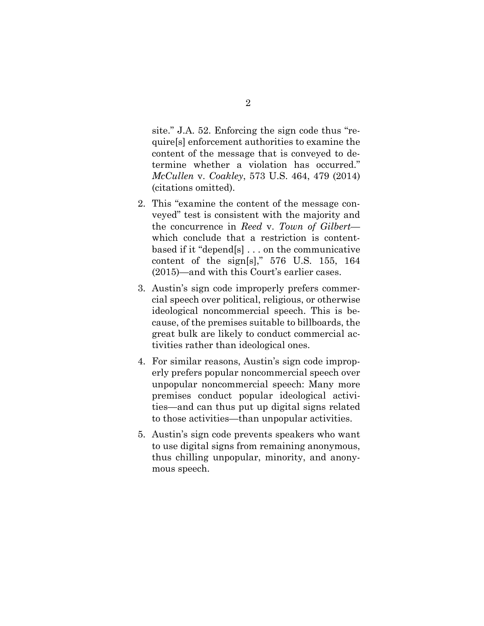site." J.A. 52. Enforcing the sign code thus "require[s] enforcement authorities to examine the content of the message that is conveyed to determine whether a violation has occurred." *McCullen* v. *Coakley*, 573 U.S. 464, 479 (2014) (citations omitted).

- 2. This "examine the content of the message conveyed" test is consistent with the majority and the concurrence in *Reed* v. *Town of Gilbert* which conclude that a restriction is contentbased if it "depend[s] . . . on the communicative content of the sign[s]," 576 U.S. 155, 164 (2015)—and with this Court's earlier cases.
- 3. Austin's sign code improperly prefers commercial speech over political, religious, or otherwise ideological noncommercial speech. This is because, of the premises suitable to billboards, the great bulk are likely to conduct commercial activities rather than ideological ones.
- 4. For similar reasons, Austin's sign code improperly prefers popular noncommercial speech over unpopular noncommercial speech: Many more premises conduct popular ideological activities—and can thus put up digital signs related to those activities—than unpopular activities.
- 5. Austin's sign code prevents speakers who want to use digital signs from remaining anonymous, thus chilling unpopular, minority, and anonymous speech.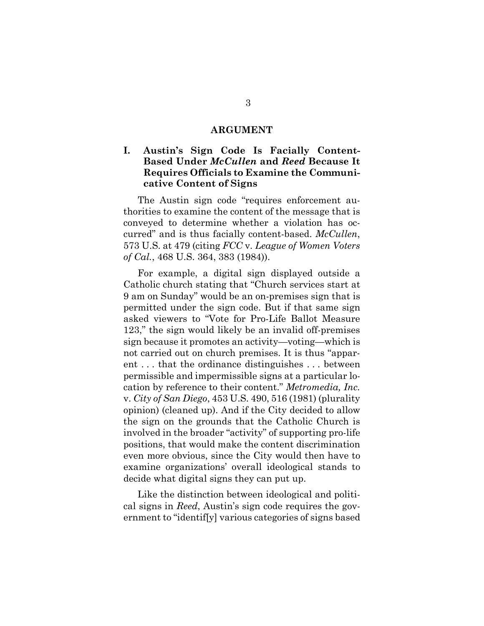#### **ARGUMENT**

## **I. Austin's Sign Code Is Facially Content-Based Under** *McCullen* **and** *Reed* **Because It Requires Officials to Examine the Communicative Content of Signs**

The Austin sign code "requires enforcement authorities to examine the content of the message that is conveyed to determine whether a violation has occurred" and is thus facially content-based. *McCullen*, 573 U.S. at 479 (citing *FCC* v. *League of Women Voters of Cal.*, 468 U.S. 364, 383 (1984)).

For example, a digital sign displayed outside a Catholic church stating that "Church services start at 9 am on Sunday" would be an on-premises sign that is permitted under the sign code. But if that same sign asked viewers to "Vote for Pro-Life Ballot Measure 123," the sign would likely be an invalid off-premises sign because it promotes an activity—voting—which is not carried out on church premises. It is thus "apparent . . . that the ordinance distinguishes . . . between permissible and impermissible signs at a particular location by reference to their content." *Metromedia, Inc.* v. *City of San Diego*, 453 U.S. 490, 516 (1981) (plurality opinion) (cleaned up). And if the City decided to allow the sign on the grounds that the Catholic Church is involved in the broader "activity" of supporting pro-life positions, that would make the content discrimination even more obvious, since the City would then have to examine organizations' overall ideological stands to decide what digital signs they can put up.

Like the distinction between ideological and political signs in *Reed*, Austin's sign code requires the government to "identif[y] various categories of signs based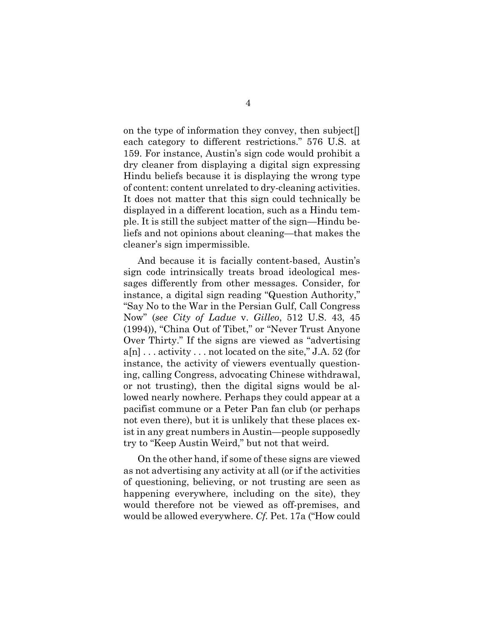on the type of information they convey, then subject[] each category to different restrictions." 576 U.S. at 159. For instance, Austin's sign code would prohibit a dry cleaner from displaying a digital sign expressing Hindu beliefs because it is displaying the wrong type of content: content unrelated to dry-cleaning activities. It does not matter that this sign could technically be displayed in a different location, such as a Hindu temple. It is still the subject matter of the sign—Hindu beliefs and not opinions about cleaning—that makes the cleaner's sign impermissible.

And because it is facially content-based, Austin's sign code intrinsically treats broad ideological messages differently from other messages. Consider, for instance, a digital sign reading "Question Authority," "Say No to the War in the Persian Gulf, Call Congress Now" (*see City of Ladue* v. *Gilleo*, 512 U.S. 43, 45 (1994)), "China Out of Tibet," or "Never Trust Anyone Over Thirty." If the signs are viewed as "advertising  $a[n]$ ... activity ... not located on the site," J.A. 52 (for instance, the activity of viewers eventually questioning, calling Congress, advocating Chinese withdrawal, or not trusting), then the digital signs would be allowed nearly nowhere. Perhaps they could appear at a pacifist commune or a Peter Pan fan club (or perhaps not even there), but it is unlikely that these places exist in any great numbers in Austin—people supposedly try to "Keep Austin Weird," but not that weird.

On the other hand, if some of these signs are viewed as not advertising any activity at all (or if the activities of questioning, believing, or not trusting are seen as happening everywhere, including on the site), they would therefore not be viewed as off-premises, and would be allowed everywhere. *Cf.* Pet. 17a ("How could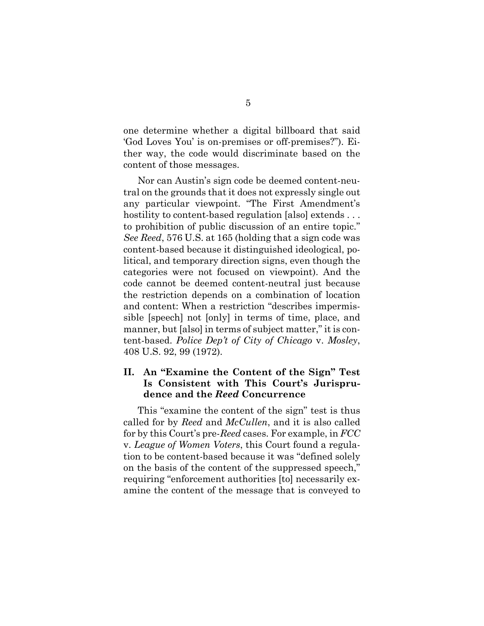one determine whether a digital billboard that said 'God Loves You' is on-premises or off-premises?"). Either way, the code would discriminate based on the content of those messages.

Nor can Austin's sign code be deemed content-neutral on the grounds that it does not expressly single out any particular viewpoint. "The First Amendment's hostility to content-based regulation [also] extends ... to prohibition of public discussion of an entire topic." *See Reed*, 576 U.S. at 165 (holding that a sign code was content-based because it distinguished ideological, political, and temporary direction signs, even though the categories were not focused on viewpoint). And the code cannot be deemed content-neutral just because the restriction depends on a combination of location and content: When a restriction "describes impermissible [speech] not [only] in terms of time, place, and manner, but [also] in terms of subject matter," it is content-based. *Police Dep't of City of Chicago* v. *Mosley*, 408 U.S. 92, 99 (1972).

## **II. An "Examine the Content of the Sign" Test Is Consistent with This Court's Jurisprudence and the** *Reed* **Concurrence**

This "examine the content of the sign" test is thus called for by *Reed* and *McCullen*, and it is also called for by this Court's pre-*Reed* cases. For example, in *FCC* v. *League of Women Voters*, this Court found a regulation to be content-based because it was "defined solely on the basis of the content of the suppressed speech," requiring "enforcement authorities [to] necessarily examine the content of the message that is conveyed to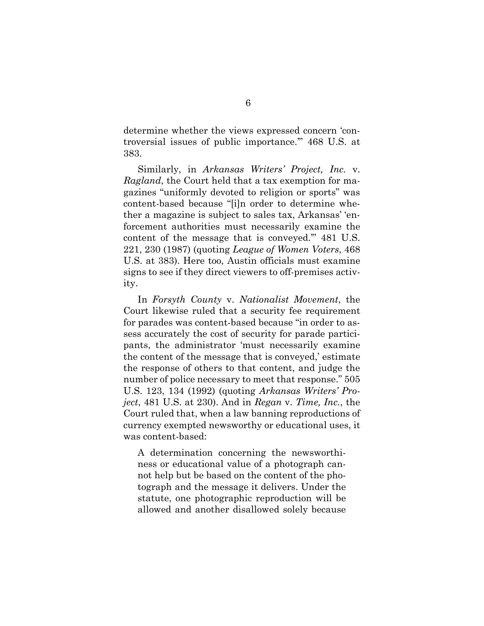determine whether the views expressed concern 'controversial issues of public importance.'" 468 U.S. at 383.

Similarly, in *Arkansas Writers' Project, Inc.* v. *Ragland*, the Court held that a tax exemption for magazines "uniformly devoted to religion or sports" was content-based because "[i]n order to determine whether a magazine is subject to sales tax, Arkansas' 'enforcement authorities must necessarily examine the content of the message that is conveyed.'" 481 U.S. 221, 230 (1987) (quoting *League of Women Voters*, 468 U.S. at 383). Here too, Austin officials must examine signs to see if they direct viewers to off-premises activity.

In *Forsyth County* v. *Nationalist Movement*, the Court likewise ruled that a security fee requirement for parades was content-based because "in order to assess accurately the cost of security for parade participants, the administrator 'must necessarily examine the content of the message that is conveyed,' estimate the response of others to that content, and judge the number of police necessary to meet that response." 505 U.S. 123, 134 (1992) (quoting *Arkansas Writers' Project*, 481 U.S. at 230). And in *Regan* v. *Time, Inc.*, the Court ruled that, when a law banning reproductions of currency exempted newsworthy or educational uses, it was content-based:

A determination concerning the newsworthiness or educational value of a photograph cannot help but be based on the content of the photograph and the message it delivers. Under the statute, one photographic reproduction will be allowed and another disallowed solely because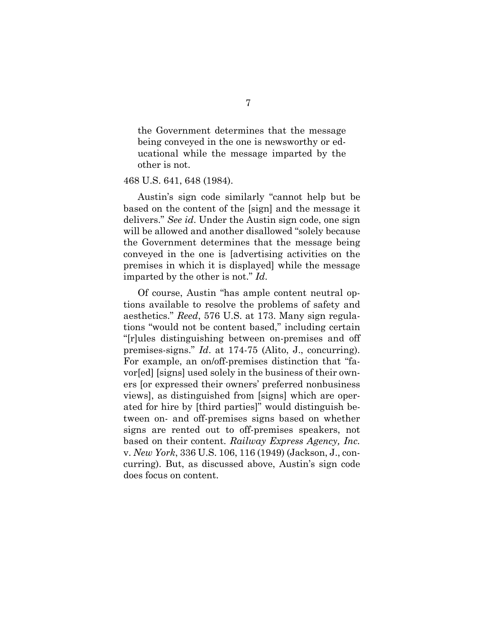the Government determines that the message being conveyed in the one is newsworthy or educational while the message imparted by the other is not.

#### 468 U.S. 641, 648 (1984).

Austin's sign code similarly "cannot help but be based on the content of the [sign] and the message it delivers." *See id*. Under the Austin sign code, one sign will be allowed and another disallowed "solely because the Government determines that the message being conveyed in the one is [advertising activities on the premises in which it is displayed] while the message imparted by the other is not." *Id*.

Of course, Austin "has ample content neutral options available to resolve the problems of safety and aesthetics." *Reed*, 576 U.S. at 173. Many sign regulations "would not be content based," including certain "[r]ules distinguishing between on-premises and off premises-signs." *Id*. at 174-75 (Alito, J., concurring). For example, an on/off-premises distinction that "favor[ed] [signs] used solely in the business of their owners [or expressed their owners' preferred nonbusiness views], as distinguished from [signs] which are operated for hire by [third parties]" would distinguish between on- and off-premises signs based on whether signs are rented out to off-premises speakers, not based on their content. *Railway Express Agency, Inc.* v. *New York*, 336 U.S. 106, 116 (1949) (Jackson, J., concurring). But, as discussed above, Austin's sign code does focus on content.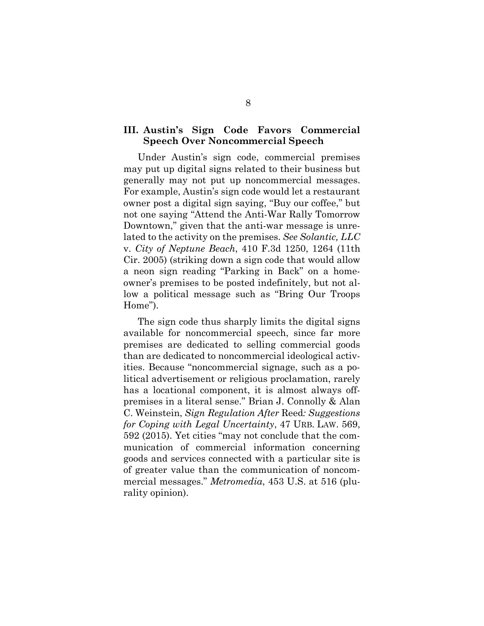### **III. Austin's Sign Code Favors Commercial Speech Over Noncommercial Speech**

Under Austin's sign code, commercial premises may put up digital signs related to their business but generally may not put up noncommercial messages. For example, Austin's sign code would let a restaurant owner post a digital sign saying, "Buy our coffee," but not one saying "Attend the Anti-War Rally Tomorrow Downtown," given that the anti-war message is unrelated to the activity on the premises. *See Solantic, LLC* v. *City of Neptune Beach*, 410 F.3d 1250, 1264 (11th Cir. 2005) (striking down a sign code that would allow a neon sign reading "Parking in Back" on a homeowner's premises to be posted indefinitely, but not allow a political message such as "Bring Our Troops Home").

The sign code thus sharply limits the digital signs available for noncommercial speech, since far more premises are dedicated to selling commercial goods than are dedicated to noncommercial ideological activities. Because "noncommercial signage, such as a political advertisement or religious proclamation, rarely has a locational component, it is almost always offpremises in a literal sense." Brian J. Connolly & Alan C. Weinstein, *Sign Regulation After* Reed*: Suggestions for Coping with Legal Uncertainty*, 47 URB. LAW. 569, 592 (2015). Yet cities "may not conclude that the communication of commercial information concerning goods and services connected with a particular site is of greater value than the communication of noncommercial messages." *Metromedia*, 453 U.S. at 516 (plurality opinion).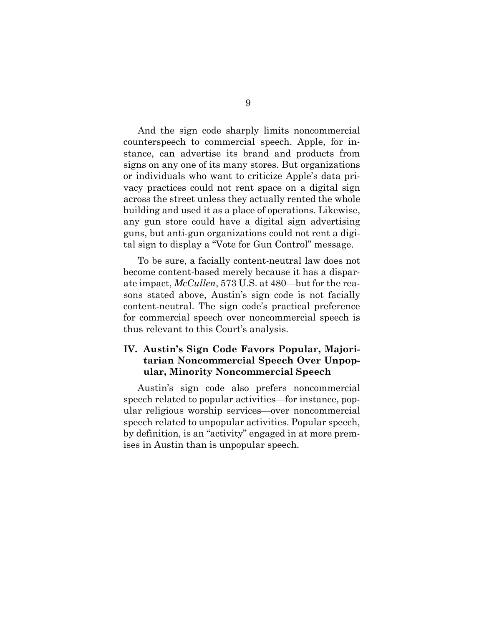And the sign code sharply limits noncommercial counterspeech to commercial speech. Apple, for instance, can advertise its brand and products from signs on any one of its many stores. But organizations or individuals who want to criticize Apple's data privacy practices could not rent space on a digital sign across the street unless they actually rented the whole building and used it as a place of operations. Likewise, any gun store could have a digital sign advertising guns, but anti-gun organizations could not rent a digital sign to display a "Vote for Gun Control" message.

To be sure, a facially content-neutral law does not become content-based merely because it has a disparate impact, *McCullen*, 573 U.S. at 480—but for the reasons stated above, Austin's sign code is not facially content-neutral. The sign code's practical preference for commercial speech over noncommercial speech is thus relevant to this Court's analysis.

## **IV. Austin's Sign Code Favors Popular, Majoritarian Noncommercial Speech Over Unpopular, Minority Noncommercial Speech**

Austin's sign code also prefers noncommercial speech related to popular activities—for instance, popular religious worship services—over noncommercial speech related to unpopular activities. Popular speech, by definition, is an "activity" engaged in at more premises in Austin than is unpopular speech.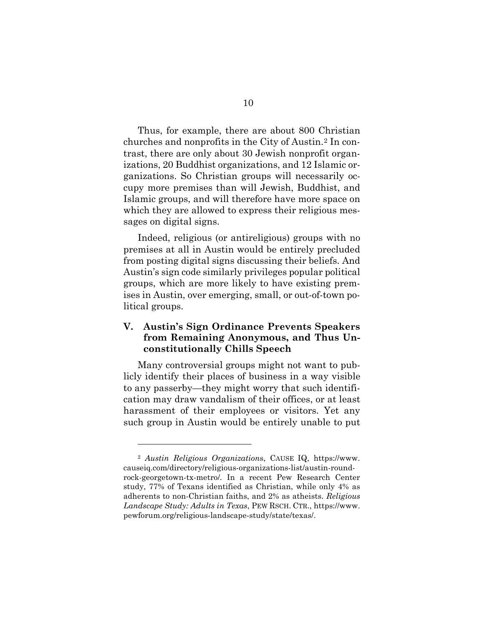Thus, for example, there are about 800 Christian churches and nonprofits in the City of Austin.[2](#page-14-0) In contrast, there are only about 30 Jewish nonprofit organizations, 20 Buddhist organizations, and 12 Islamic organizations. So Christian groups will necessarily occupy more premises than will Jewish, Buddhist, and Islamic groups, and will therefore have more space on which they are allowed to express their religious messages on digital signs.

Indeed, religious (or antireligious) groups with no premises at all in Austin would be entirely precluded from posting digital signs discussing their beliefs. And Austin's sign code similarly privileges popular political groups, which are more likely to have existing premises in Austin, over emerging, small, or out-of-town political groups.

### **V. Austin's Sign Ordinance Prevents Speakers from Remaining Anonymous, and Thus Unconstitutionally Chills Speech**

Many controversial groups might not want to publicly identify their places of business in a way visible to any passerby—they might worry that such identification may draw vandalism of their offices, or at least harassment of their employees or visitors. Yet any such group in Austin would be entirely unable to put

<span id="page-14-0"></span><sup>2</sup> *Austin Religious Organization*s, CAUSE IQ, https://www. causeiq.com/directory/religious-organizations-list/austin-roundrock-georgetown-tx-metro/. In a recent Pew Research Center study, 77% of Texans identified as Christian, while only 4% as adherents to non-Christian faiths, and 2% as atheists. *Religious Landscape Study: Adults in Texas*, PEW RSCH. CTR., https://www. pewforum.org/religious-landscape-study/state/texas/.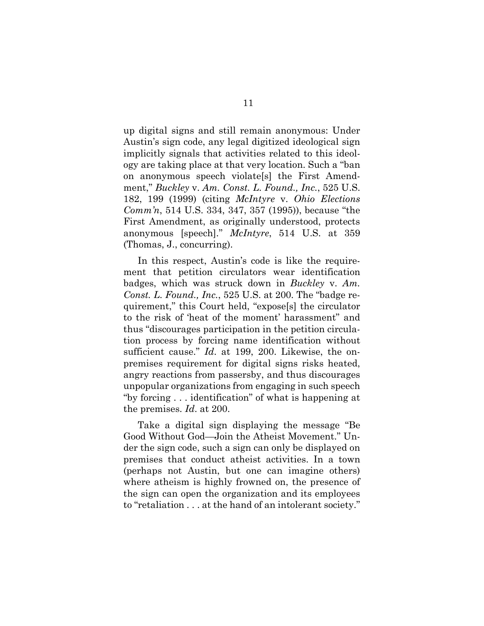up digital signs and still remain anonymous: Under Austin's sign code, any legal digitized ideological sign implicitly signals that activities related to this ideology are taking place at that very location. Such a "ban on anonymous speech violate[s] the First Amendment," *Buckley* v. *Am. Const. L. Found., Inc.*, 525 U.S. 182, 199 (1999) (citing *McIntyre* v. *Ohio Elections Comm'n*, 514 U.S. 334, 347, 357 (1995)), because "the First Amendment, as originally understood, protects anonymous [speech]." *McIntyre*, 514 U.S. at 359 (Thomas, J., concurring).

In this respect, Austin's code is like the requirement that petition circulators wear identification badges, which was struck down in *Buckley* v. *Am. Const. L. Found., Inc.*, 525 U.S. at 200. The "badge requirement," this Court held, "expose[s] the circulator to the risk of 'heat of the moment' harassment" and thus "discourages participation in the petition circulation process by forcing name identification without sufficient cause." *Id*. at 199, 200. Likewise, the onpremises requirement for digital signs risks heated, angry reactions from passersby, and thus discourages unpopular organizations from engaging in such speech "by forcing . . . identification" of what is happening at the premises. *Id*. at 200.

Take a digital sign displaying the message "Be Good Without God—Join the Atheist Movement." Under the sign code, such a sign can only be displayed on premises that conduct atheist activities. In a town (perhaps not Austin, but one can imagine others) where atheism is highly frowned on, the presence of the sign can open the organization and its employees to "retaliation . . . at the hand of an intolerant society."